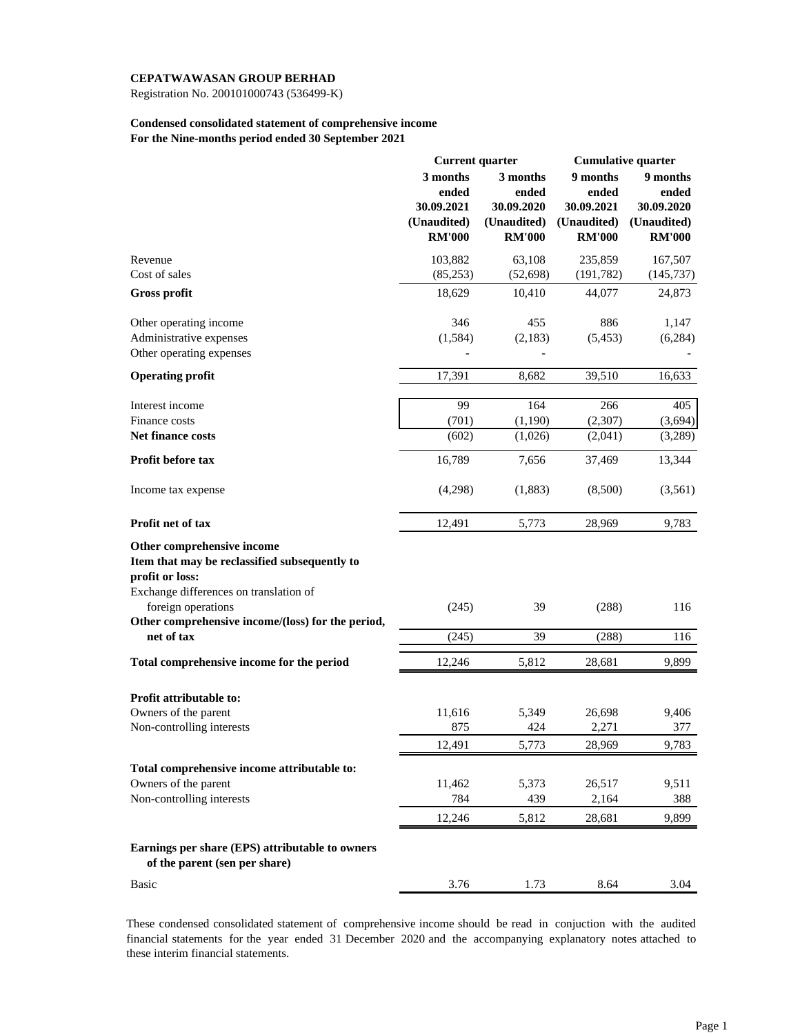Registration No. 200101000743 (536499-K)

### **Condensed consolidated statement of comprehensive income For the Nine-months period ended 30 September 2021**

|                                                                                  | <b>Current quarter</b> |               | <b>Cumulative quarter</b> |               |
|----------------------------------------------------------------------------------|------------------------|---------------|---------------------------|---------------|
|                                                                                  | 3 months               | 3 months      | 9 months                  | 9 months      |
|                                                                                  | ended                  | ended         | ended                     | ended         |
|                                                                                  | 30.09.2021             | 30.09.2020    | 30.09.2021                | 30.09.2020    |
|                                                                                  | (Unaudited)            | (Unaudited)   | (Unaudited)               | (Unaudited)   |
|                                                                                  | <b>RM'000</b>          | <b>RM'000</b> | <b>RM'000</b>             | <b>RM'000</b> |
| Revenue                                                                          | 103,882                | 63,108        | 235,859                   | 167,507       |
| Cost of sales                                                                    | (85,253)               | (52, 698)     | (191, 782)                | (145, 737)    |
| <b>Gross profit</b>                                                              | 18,629                 | 10,410        | 44,077                    | 24,873        |
| Other operating income                                                           | 346                    | 455           | 886                       | 1,147         |
| Administrative expenses                                                          | (1, 584)               | (2,183)       | (5, 453)                  | (6,284)       |
| Other operating expenses                                                         |                        |               |                           |               |
| <b>Operating profit</b>                                                          | 17,391                 | 8,682         | 39,510                    | 16,633        |
| Interest income                                                                  | 99                     | 164           | 266                       | 405           |
| Finance costs                                                                    | (701)                  | (1, 190)      | (2,307)                   | (3,694)       |
| Net finance costs                                                                | (602)                  | (1,026)       | (2,041)                   | (3,289)       |
| Profit before tax                                                                | 16,789                 | 7,656         | 37,469                    | 13,344        |
| Income tax expense                                                               | (4,298)                | (1,883)       | (8,500)                   | (3,561)       |
| Profit net of tax                                                                | 12,491                 | 5,773         | 28,969                    | 9,783         |
| Other comprehensive income                                                       |                        |               |                           |               |
| Item that may be reclassified subsequently to                                    |                        |               |                           |               |
| profit or loss:                                                                  |                        |               |                           |               |
| Exchange differences on translation of                                           |                        |               |                           |               |
| foreign operations                                                               | (245)                  | 39            | (288)                     | 116           |
| Other comprehensive income/(loss) for the period,                                |                        |               |                           |               |
| net of tax                                                                       | (245)                  | 39            | (288)                     | 116           |
| Total comprehensive income for the period                                        | 12,246                 | 5,812         | 28,681                    | 9,899         |
|                                                                                  |                        |               |                           |               |
| <b>Profit attributable to:</b>                                                   |                        |               |                           |               |
| Owners of the parent                                                             | 11,616                 | 5,349         | 26,698                    | 9,406         |
| Non-controlling interests                                                        | 875                    | 424           | 2,271                     | 377           |
|                                                                                  | 12,491                 | 5,773         | 28,969                    | 9,783         |
| Total comprehensive income attributable to:                                      |                        |               |                           |               |
| Owners of the parent                                                             | 11,462                 | 5,373         | 26,517                    | 9,511         |
| Non-controlling interests                                                        | 784                    | 439           | 2,164                     | 388           |
|                                                                                  | 12,246                 | 5,812         | 28,681                    | 9,899         |
|                                                                                  |                        |               |                           |               |
| Earnings per share (EPS) attributable to owners<br>of the parent (sen per share) |                        |               |                           |               |
| <b>Basic</b>                                                                     | 3.76                   | 1.73          | 8.64                      | 3.04          |

These condensed consolidated statement of comprehensive income should be read in conjuction with the audited financial statements for the year ended 31 December 2020 and the accompanying explanatory notes attached to these interim financial statements.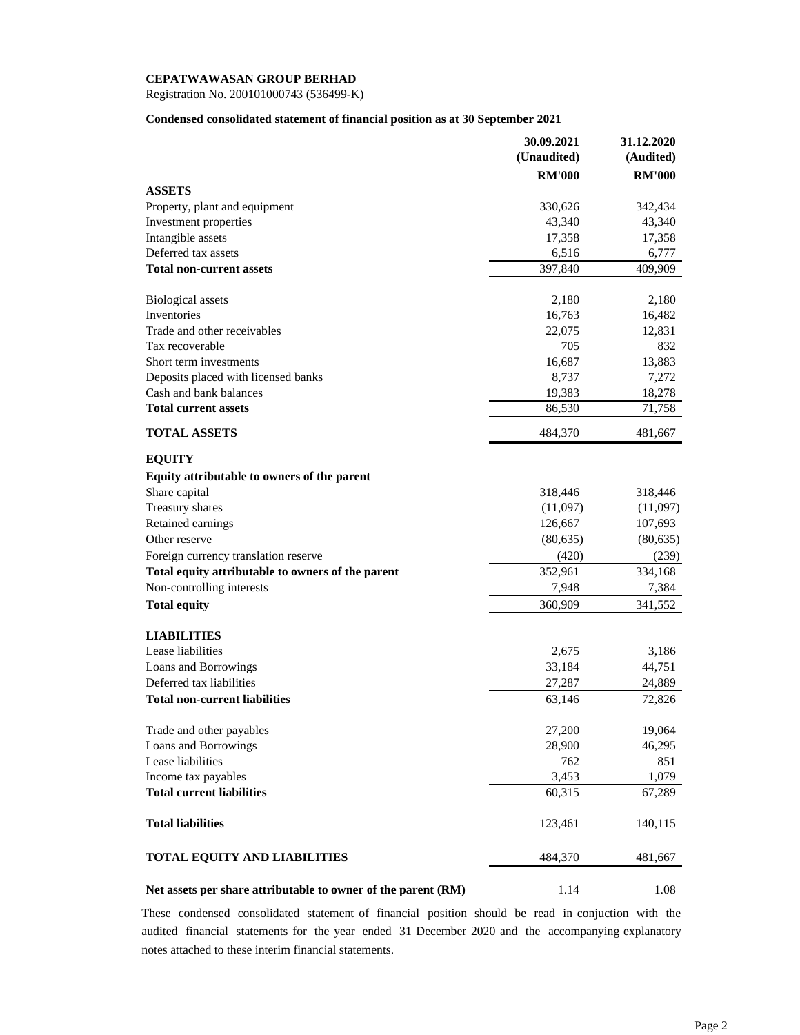Registration No. 200101000743 (536499-K)

### **Condensed consolidated statement of financial position as at 30 September 2021**

|                                                               | 30.09.2021    | 31.12.2020    |
|---------------------------------------------------------------|---------------|---------------|
|                                                               | (Unaudited)   | (Audited)     |
|                                                               | <b>RM'000</b> | <b>RM'000</b> |
| <b>ASSETS</b>                                                 |               |               |
| Property, plant and equipment                                 | 330,626       | 342,434       |
| Investment properties                                         | 43,340        | 43,340        |
| Intangible assets                                             | 17,358        | 17,358        |
| Deferred tax assets                                           | 6,516         | 6,777         |
| <b>Total non-current assets</b>                               | 397,840       | 409,909       |
| <b>Biological assets</b>                                      | 2,180         | 2,180         |
| Inventories                                                   | 16,763        | 16,482        |
| Trade and other receivables                                   | 22,075        | 12,831        |
| Tax recoverable                                               | 705           | 832           |
| Short term investments                                        | 16,687        | 13,883        |
| Deposits placed with licensed banks                           | 8,737         | 7,272         |
| Cash and bank balances                                        | 19,383        | 18,278        |
| <b>Total current assets</b>                                   | 86,530        | 71,758        |
| <b>TOTAL ASSETS</b>                                           | 484,370       | 481,667       |
| <b>EQUITY</b>                                                 |               |               |
| Equity attributable to owners of the parent                   |               |               |
| Share capital                                                 | 318,446       | 318,446       |
| Treasury shares                                               | (11,097)      | (11,097)      |
| Retained earnings                                             | 126,667       | 107,693       |
| Other reserve                                                 | (80, 635)     | (80, 635)     |
| Foreign currency translation reserve                          | (420)         | (239)         |
| Total equity attributable to owners of the parent             | 352,961       | 334,168       |
| Non-controlling interests                                     | 7,948         | 7,384         |
| <b>Total equity</b>                                           | 360,909       | 341,552       |
| <b>LIABILITIES</b>                                            |               |               |
| Lease liabilities                                             | 2,675         | 3,186         |
| Loans and Borrowings                                          | 33,184        | 44,751        |
| Deferred tax liabilities                                      | 27,287        | 24,889        |
| <b>Total non-current liabilities</b>                          | 63,146        | 72,826        |
| Trade and other payables                                      | 27,200        | 19,064        |
| Loans and Borrowings                                          | 28,900        | 46,295        |
| Lease liabilities                                             | 762           | 851           |
| Income tax payables                                           | 3,453         | 1,079         |
| <b>Total current liabilities</b>                              | 60,315        | 67,289        |
| <b>Total liabilities</b>                                      | 123,461       | 140,115       |
| <b>TOTAL EQUITY AND LIABILITIES</b>                           | 484,370       | 481,667       |
| Net assets per share attributable to owner of the parent (RM) | 1.14          | 1.08          |

These condensed consolidated statement of financial position should be read in conjuction with the audited financial statements for the year ended 31 December 2020 and the accompanying explanatory notes attached to these interim financial statements.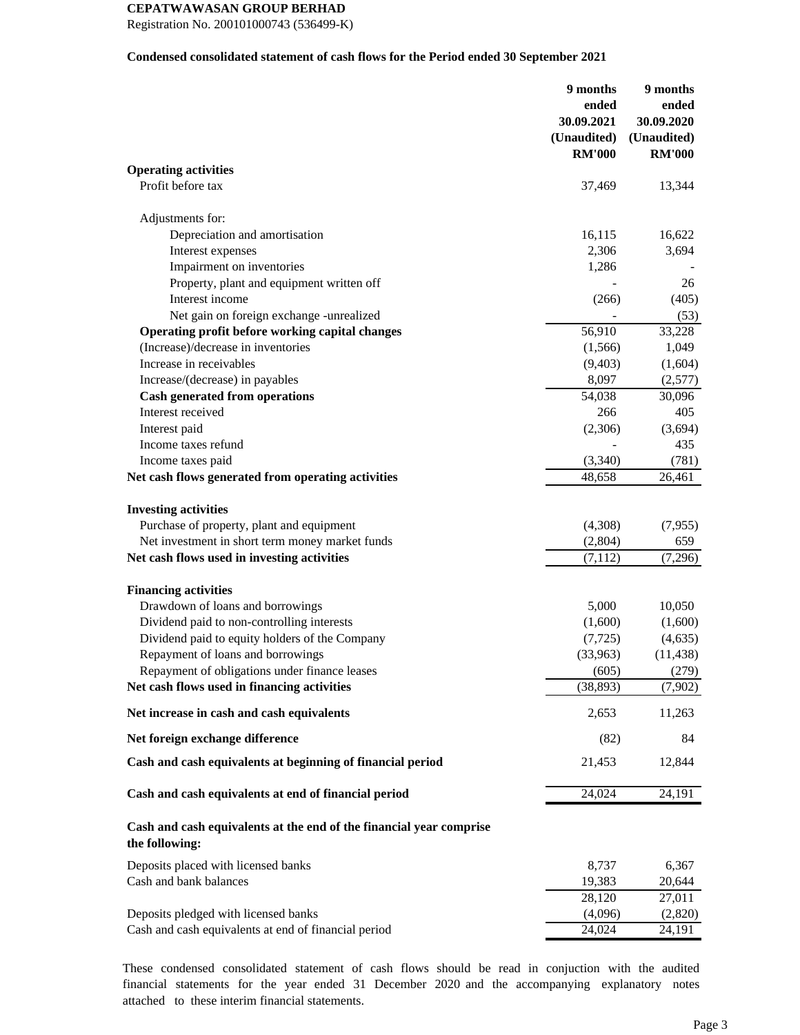Registration No. 200101000743 (536499-K)

### **Condensed consolidated statement of cash flows for the Period ended 30 September 2021**

| <b>Operating activities</b><br>Profit before tax<br>37,469<br>13,344<br>Adjustments for:<br>Depreciation and amortisation<br>16,115<br>16,622<br>Interest expenses<br>2,306<br>3,694<br>Impairment on inventories<br>1,286<br>Property, plant and equipment written off<br>26<br>Interest income<br>(266)<br>(405)<br>Net gain on foreign exchange -unrealized<br>(53)<br>Operating profit before working capital changes<br>56,910<br>33,228<br>(Increase)/decrease in inventories<br>1,049<br>(1,566)<br>Increase in receivables<br>(9,403)<br>(1,604)<br>Increase/(decrease) in payables<br>8,097<br>(2,577)<br><b>Cash generated from operations</b><br>54,038<br>30,096<br>Interest received<br>266<br>405<br>Interest paid<br>(2,306)<br>(3,694)<br>Income taxes refund<br>435<br>Income taxes paid<br>(3,340)<br>(781)<br>Net cash flows generated from operating activities<br>48,658<br>26,461<br><b>Investing activities</b><br>Purchase of property, plant and equipment<br>(4,308)<br>(7,955)<br>Net investment in short term money market funds<br>(2,804)<br>659<br>Net cash flows used in investing activities<br>(7, 112)<br>(7,296)<br><b>Financing activities</b><br>Drawdown of loans and borrowings<br>5,000<br>10,050<br>Dividend paid to non-controlling interests<br>(1,600)<br>(1,600)<br>Dividend paid to equity holders of the Company<br>(7, 725)<br>(4, 635)<br>Repayment of loans and borrowings<br>(33,963)<br>(11, 438)<br>Repayment of obligations under finance leases<br>(605)<br>(279)<br>Net cash flows used in financing activities<br>(38, 893)<br>(7,902)<br>Net increase in cash and cash equivalents<br>2,653<br>11,263<br>Net foreign exchange difference<br>(82)<br>84<br>Cash and cash equivalents at beginning of financial period<br>21,453<br>12,844<br>24,024<br>Cash and cash equivalents at end of financial period<br>24,191<br>Cash and cash equivalents at the end of the financial year comprise<br>the following:<br>Deposits placed with licensed banks<br>8,737<br>6,367<br>Cash and bank balances<br>19,383<br>20,644<br>28,120<br>27,011<br>Deposits pledged with licensed banks<br>(4,096)<br>(2,820)<br>Cash and cash equivalents at end of financial period<br>24,024<br>24,191 | 9 months<br>ended<br>30.09.2021<br>(Unaudited)<br><b>RM'000</b> | 9 months<br>ended<br>30.09.2020<br>(Unaudited)<br><b>RM'000</b> |
|-----------------------------------------------------------------------------------------------------------------------------------------------------------------------------------------------------------------------------------------------------------------------------------------------------------------------------------------------------------------------------------------------------------------------------------------------------------------------------------------------------------------------------------------------------------------------------------------------------------------------------------------------------------------------------------------------------------------------------------------------------------------------------------------------------------------------------------------------------------------------------------------------------------------------------------------------------------------------------------------------------------------------------------------------------------------------------------------------------------------------------------------------------------------------------------------------------------------------------------------------------------------------------------------------------------------------------------------------------------------------------------------------------------------------------------------------------------------------------------------------------------------------------------------------------------------------------------------------------------------------------------------------------------------------------------------------------------------------------------------------------------------------------------------------------------------------------------------------------------------------------------------------------------------------------------------------------------------------------------------------------------------------------------------------------------------------------------------------------------------------------------------------------------------------------------------------------------------------------------------------|-----------------------------------------------------------------|-----------------------------------------------------------------|
|                                                                                                                                                                                                                                                                                                                                                                                                                                                                                                                                                                                                                                                                                                                                                                                                                                                                                                                                                                                                                                                                                                                                                                                                                                                                                                                                                                                                                                                                                                                                                                                                                                                                                                                                                                                                                                                                                                                                                                                                                                                                                                                                                                                                                                               |                                                                 |                                                                 |
|                                                                                                                                                                                                                                                                                                                                                                                                                                                                                                                                                                                                                                                                                                                                                                                                                                                                                                                                                                                                                                                                                                                                                                                                                                                                                                                                                                                                                                                                                                                                                                                                                                                                                                                                                                                                                                                                                                                                                                                                                                                                                                                                                                                                                                               |                                                                 |                                                                 |
|                                                                                                                                                                                                                                                                                                                                                                                                                                                                                                                                                                                                                                                                                                                                                                                                                                                                                                                                                                                                                                                                                                                                                                                                                                                                                                                                                                                                                                                                                                                                                                                                                                                                                                                                                                                                                                                                                                                                                                                                                                                                                                                                                                                                                                               |                                                                 |                                                                 |
|                                                                                                                                                                                                                                                                                                                                                                                                                                                                                                                                                                                                                                                                                                                                                                                                                                                                                                                                                                                                                                                                                                                                                                                                                                                                                                                                                                                                                                                                                                                                                                                                                                                                                                                                                                                                                                                                                                                                                                                                                                                                                                                                                                                                                                               |                                                                 |                                                                 |
|                                                                                                                                                                                                                                                                                                                                                                                                                                                                                                                                                                                                                                                                                                                                                                                                                                                                                                                                                                                                                                                                                                                                                                                                                                                                                                                                                                                                                                                                                                                                                                                                                                                                                                                                                                                                                                                                                                                                                                                                                                                                                                                                                                                                                                               |                                                                 |                                                                 |
|                                                                                                                                                                                                                                                                                                                                                                                                                                                                                                                                                                                                                                                                                                                                                                                                                                                                                                                                                                                                                                                                                                                                                                                                                                                                                                                                                                                                                                                                                                                                                                                                                                                                                                                                                                                                                                                                                                                                                                                                                                                                                                                                                                                                                                               |                                                                 |                                                                 |
|                                                                                                                                                                                                                                                                                                                                                                                                                                                                                                                                                                                                                                                                                                                                                                                                                                                                                                                                                                                                                                                                                                                                                                                                                                                                                                                                                                                                                                                                                                                                                                                                                                                                                                                                                                                                                                                                                                                                                                                                                                                                                                                                                                                                                                               |                                                                 |                                                                 |
|                                                                                                                                                                                                                                                                                                                                                                                                                                                                                                                                                                                                                                                                                                                                                                                                                                                                                                                                                                                                                                                                                                                                                                                                                                                                                                                                                                                                                                                                                                                                                                                                                                                                                                                                                                                                                                                                                                                                                                                                                                                                                                                                                                                                                                               |                                                                 |                                                                 |
|                                                                                                                                                                                                                                                                                                                                                                                                                                                                                                                                                                                                                                                                                                                                                                                                                                                                                                                                                                                                                                                                                                                                                                                                                                                                                                                                                                                                                                                                                                                                                                                                                                                                                                                                                                                                                                                                                                                                                                                                                                                                                                                                                                                                                                               |                                                                 |                                                                 |
|                                                                                                                                                                                                                                                                                                                                                                                                                                                                                                                                                                                                                                                                                                                                                                                                                                                                                                                                                                                                                                                                                                                                                                                                                                                                                                                                                                                                                                                                                                                                                                                                                                                                                                                                                                                                                                                                                                                                                                                                                                                                                                                                                                                                                                               |                                                                 |                                                                 |
|                                                                                                                                                                                                                                                                                                                                                                                                                                                                                                                                                                                                                                                                                                                                                                                                                                                                                                                                                                                                                                                                                                                                                                                                                                                                                                                                                                                                                                                                                                                                                                                                                                                                                                                                                                                                                                                                                                                                                                                                                                                                                                                                                                                                                                               |                                                                 |                                                                 |
|                                                                                                                                                                                                                                                                                                                                                                                                                                                                                                                                                                                                                                                                                                                                                                                                                                                                                                                                                                                                                                                                                                                                                                                                                                                                                                                                                                                                                                                                                                                                                                                                                                                                                                                                                                                                                                                                                                                                                                                                                                                                                                                                                                                                                                               |                                                                 |                                                                 |
|                                                                                                                                                                                                                                                                                                                                                                                                                                                                                                                                                                                                                                                                                                                                                                                                                                                                                                                                                                                                                                                                                                                                                                                                                                                                                                                                                                                                                                                                                                                                                                                                                                                                                                                                                                                                                                                                                                                                                                                                                                                                                                                                                                                                                                               |                                                                 |                                                                 |
|                                                                                                                                                                                                                                                                                                                                                                                                                                                                                                                                                                                                                                                                                                                                                                                                                                                                                                                                                                                                                                                                                                                                                                                                                                                                                                                                                                                                                                                                                                                                                                                                                                                                                                                                                                                                                                                                                                                                                                                                                                                                                                                                                                                                                                               |                                                                 |                                                                 |
|                                                                                                                                                                                                                                                                                                                                                                                                                                                                                                                                                                                                                                                                                                                                                                                                                                                                                                                                                                                                                                                                                                                                                                                                                                                                                                                                                                                                                                                                                                                                                                                                                                                                                                                                                                                                                                                                                                                                                                                                                                                                                                                                                                                                                                               |                                                                 |                                                                 |
|                                                                                                                                                                                                                                                                                                                                                                                                                                                                                                                                                                                                                                                                                                                                                                                                                                                                                                                                                                                                                                                                                                                                                                                                                                                                                                                                                                                                                                                                                                                                                                                                                                                                                                                                                                                                                                                                                                                                                                                                                                                                                                                                                                                                                                               |                                                                 |                                                                 |
|                                                                                                                                                                                                                                                                                                                                                                                                                                                                                                                                                                                                                                                                                                                                                                                                                                                                                                                                                                                                                                                                                                                                                                                                                                                                                                                                                                                                                                                                                                                                                                                                                                                                                                                                                                                                                                                                                                                                                                                                                                                                                                                                                                                                                                               |                                                                 |                                                                 |
|                                                                                                                                                                                                                                                                                                                                                                                                                                                                                                                                                                                                                                                                                                                                                                                                                                                                                                                                                                                                                                                                                                                                                                                                                                                                                                                                                                                                                                                                                                                                                                                                                                                                                                                                                                                                                                                                                                                                                                                                                                                                                                                                                                                                                                               |                                                                 |                                                                 |
|                                                                                                                                                                                                                                                                                                                                                                                                                                                                                                                                                                                                                                                                                                                                                                                                                                                                                                                                                                                                                                                                                                                                                                                                                                                                                                                                                                                                                                                                                                                                                                                                                                                                                                                                                                                                                                                                                                                                                                                                                                                                                                                                                                                                                                               |                                                                 |                                                                 |
|                                                                                                                                                                                                                                                                                                                                                                                                                                                                                                                                                                                                                                                                                                                                                                                                                                                                                                                                                                                                                                                                                                                                                                                                                                                                                                                                                                                                                                                                                                                                                                                                                                                                                                                                                                                                                                                                                                                                                                                                                                                                                                                                                                                                                                               |                                                                 |                                                                 |
|                                                                                                                                                                                                                                                                                                                                                                                                                                                                                                                                                                                                                                                                                                                                                                                                                                                                                                                                                                                                                                                                                                                                                                                                                                                                                                                                                                                                                                                                                                                                                                                                                                                                                                                                                                                                                                                                                                                                                                                                                                                                                                                                                                                                                                               |                                                                 |                                                                 |
|                                                                                                                                                                                                                                                                                                                                                                                                                                                                                                                                                                                                                                                                                                                                                                                                                                                                                                                                                                                                                                                                                                                                                                                                                                                                                                                                                                                                                                                                                                                                                                                                                                                                                                                                                                                                                                                                                                                                                                                                                                                                                                                                                                                                                                               |                                                                 |                                                                 |
|                                                                                                                                                                                                                                                                                                                                                                                                                                                                                                                                                                                                                                                                                                                                                                                                                                                                                                                                                                                                                                                                                                                                                                                                                                                                                                                                                                                                                                                                                                                                                                                                                                                                                                                                                                                                                                                                                                                                                                                                                                                                                                                                                                                                                                               |                                                                 |                                                                 |
|                                                                                                                                                                                                                                                                                                                                                                                                                                                                                                                                                                                                                                                                                                                                                                                                                                                                                                                                                                                                                                                                                                                                                                                                                                                                                                                                                                                                                                                                                                                                                                                                                                                                                                                                                                                                                                                                                                                                                                                                                                                                                                                                                                                                                                               |                                                                 |                                                                 |
|                                                                                                                                                                                                                                                                                                                                                                                                                                                                                                                                                                                                                                                                                                                                                                                                                                                                                                                                                                                                                                                                                                                                                                                                                                                                                                                                                                                                                                                                                                                                                                                                                                                                                                                                                                                                                                                                                                                                                                                                                                                                                                                                                                                                                                               |                                                                 |                                                                 |
|                                                                                                                                                                                                                                                                                                                                                                                                                                                                                                                                                                                                                                                                                                                                                                                                                                                                                                                                                                                                                                                                                                                                                                                                                                                                                                                                                                                                                                                                                                                                                                                                                                                                                                                                                                                                                                                                                                                                                                                                                                                                                                                                                                                                                                               |                                                                 |                                                                 |
|                                                                                                                                                                                                                                                                                                                                                                                                                                                                                                                                                                                                                                                                                                                                                                                                                                                                                                                                                                                                                                                                                                                                                                                                                                                                                                                                                                                                                                                                                                                                                                                                                                                                                                                                                                                                                                                                                                                                                                                                                                                                                                                                                                                                                                               |                                                                 |                                                                 |
|                                                                                                                                                                                                                                                                                                                                                                                                                                                                                                                                                                                                                                                                                                                                                                                                                                                                                                                                                                                                                                                                                                                                                                                                                                                                                                                                                                                                                                                                                                                                                                                                                                                                                                                                                                                                                                                                                                                                                                                                                                                                                                                                                                                                                                               |                                                                 |                                                                 |
|                                                                                                                                                                                                                                                                                                                                                                                                                                                                                                                                                                                                                                                                                                                                                                                                                                                                                                                                                                                                                                                                                                                                                                                                                                                                                                                                                                                                                                                                                                                                                                                                                                                                                                                                                                                                                                                                                                                                                                                                                                                                                                                                                                                                                                               |                                                                 |                                                                 |
|                                                                                                                                                                                                                                                                                                                                                                                                                                                                                                                                                                                                                                                                                                                                                                                                                                                                                                                                                                                                                                                                                                                                                                                                                                                                                                                                                                                                                                                                                                                                                                                                                                                                                                                                                                                                                                                                                                                                                                                                                                                                                                                                                                                                                                               |                                                                 |                                                                 |
|                                                                                                                                                                                                                                                                                                                                                                                                                                                                                                                                                                                                                                                                                                                                                                                                                                                                                                                                                                                                                                                                                                                                                                                                                                                                                                                                                                                                                                                                                                                                                                                                                                                                                                                                                                                                                                                                                                                                                                                                                                                                                                                                                                                                                                               |                                                                 |                                                                 |
|                                                                                                                                                                                                                                                                                                                                                                                                                                                                                                                                                                                                                                                                                                                                                                                                                                                                                                                                                                                                                                                                                                                                                                                                                                                                                                                                                                                                                                                                                                                                                                                                                                                                                                                                                                                                                                                                                                                                                                                                                                                                                                                                                                                                                                               |                                                                 |                                                                 |
|                                                                                                                                                                                                                                                                                                                                                                                                                                                                                                                                                                                                                                                                                                                                                                                                                                                                                                                                                                                                                                                                                                                                                                                                                                                                                                                                                                                                                                                                                                                                                                                                                                                                                                                                                                                                                                                                                                                                                                                                                                                                                                                                                                                                                                               |                                                                 |                                                                 |
|                                                                                                                                                                                                                                                                                                                                                                                                                                                                                                                                                                                                                                                                                                                                                                                                                                                                                                                                                                                                                                                                                                                                                                                                                                                                                                                                                                                                                                                                                                                                                                                                                                                                                                                                                                                                                                                                                                                                                                                                                                                                                                                                                                                                                                               |                                                                 |                                                                 |
|                                                                                                                                                                                                                                                                                                                                                                                                                                                                                                                                                                                                                                                                                                                                                                                                                                                                                                                                                                                                                                                                                                                                                                                                                                                                                                                                                                                                                                                                                                                                                                                                                                                                                                                                                                                                                                                                                                                                                                                                                                                                                                                                                                                                                                               |                                                                 |                                                                 |
|                                                                                                                                                                                                                                                                                                                                                                                                                                                                                                                                                                                                                                                                                                                                                                                                                                                                                                                                                                                                                                                                                                                                                                                                                                                                                                                                                                                                                                                                                                                                                                                                                                                                                                                                                                                                                                                                                                                                                                                                                                                                                                                                                                                                                                               |                                                                 |                                                                 |
|                                                                                                                                                                                                                                                                                                                                                                                                                                                                                                                                                                                                                                                                                                                                                                                                                                                                                                                                                                                                                                                                                                                                                                                                                                                                                                                                                                                                                                                                                                                                                                                                                                                                                                                                                                                                                                                                                                                                                                                                                                                                                                                                                                                                                                               |                                                                 |                                                                 |
|                                                                                                                                                                                                                                                                                                                                                                                                                                                                                                                                                                                                                                                                                                                                                                                                                                                                                                                                                                                                                                                                                                                                                                                                                                                                                                                                                                                                                                                                                                                                                                                                                                                                                                                                                                                                                                                                                                                                                                                                                                                                                                                                                                                                                                               |                                                                 |                                                                 |
|                                                                                                                                                                                                                                                                                                                                                                                                                                                                                                                                                                                                                                                                                                                                                                                                                                                                                                                                                                                                                                                                                                                                                                                                                                                                                                                                                                                                                                                                                                                                                                                                                                                                                                                                                                                                                                                                                                                                                                                                                                                                                                                                                                                                                                               |                                                                 |                                                                 |
|                                                                                                                                                                                                                                                                                                                                                                                                                                                                                                                                                                                                                                                                                                                                                                                                                                                                                                                                                                                                                                                                                                                                                                                                                                                                                                                                                                                                                                                                                                                                                                                                                                                                                                                                                                                                                                                                                                                                                                                                                                                                                                                                                                                                                                               |                                                                 |                                                                 |
|                                                                                                                                                                                                                                                                                                                                                                                                                                                                                                                                                                                                                                                                                                                                                                                                                                                                                                                                                                                                                                                                                                                                                                                                                                                                                                                                                                                                                                                                                                                                                                                                                                                                                                                                                                                                                                                                                                                                                                                                                                                                                                                                                                                                                                               |                                                                 |                                                                 |
|                                                                                                                                                                                                                                                                                                                                                                                                                                                                                                                                                                                                                                                                                                                                                                                                                                                                                                                                                                                                                                                                                                                                                                                                                                                                                                                                                                                                                                                                                                                                                                                                                                                                                                                                                                                                                                                                                                                                                                                                                                                                                                                                                                                                                                               |                                                                 |                                                                 |

These condensed consolidated statement of cash flows should be read in conjuction with the audited financial statements for the year ended 31 December 2020 and the accompanying explanatory notes attached to these interim financial statements.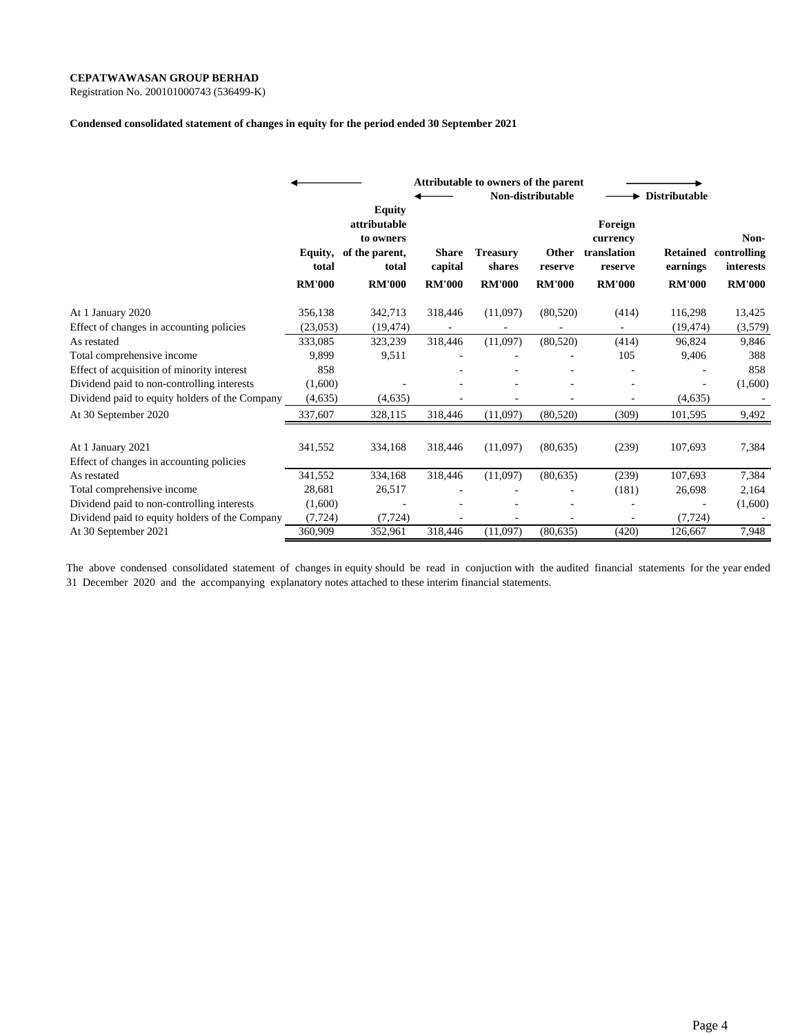Registration No. 200101000743 (536499-K)

#### **Condensed consolidated statement of changes in equity for the period ended 30 September 2021**

|                                                               |                                   |                                                                                        |                                          | Attributable to owners of the parent       | Non-distributable                 |                                                                | Distributable                                |                                                   |  |
|---------------------------------------------------------------|-----------------------------------|----------------------------------------------------------------------------------------|------------------------------------------|--------------------------------------------|-----------------------------------|----------------------------------------------------------------|----------------------------------------------|---------------------------------------------------|--|
|                                                               | Equity,<br>total<br><b>RM'000</b> | <b>Equity</b><br>attributable<br>to owners<br>of the parent,<br>total<br><b>RM'000</b> | <b>Share</b><br>capital<br><b>RM'000</b> | <b>Treasury</b><br>shares<br><b>RM'000</b> | Other<br>reserve<br><b>RM'000</b> | Foreign<br>currency<br>translation<br>reserve<br><b>RM'000</b> | <b>Retained</b><br>earnings<br><b>RM'000</b> | Non-<br>controlling<br>interests<br><b>RM'000</b> |  |
| At 1 January 2020                                             | 356,138                           | 342,713                                                                                | 318,446                                  | (11,097)                                   | (80, 520)                         | (414)                                                          | 116,298                                      | 13,425                                            |  |
| Effect of changes in accounting policies                      | (23,053)                          | (19, 474)                                                                              |                                          |                                            |                                   |                                                                | (19, 474)                                    | (3,579)                                           |  |
| As restated                                                   | 333,085                           | 323,239                                                                                | 318,446                                  | (11,097)                                   | (80, 520)                         | (414)                                                          | 96,824                                       | 9,846                                             |  |
| Total comprehensive income                                    | 9,899                             | 9,511                                                                                  |                                          |                                            |                                   | 105                                                            | 9,406                                        | 388                                               |  |
| Effect of acquisition of minority interest                    | 858                               |                                                                                        |                                          |                                            |                                   |                                                                |                                              | 858                                               |  |
| Dividend paid to non-controlling interests                    | (1,600)                           |                                                                                        |                                          |                                            |                                   |                                                                |                                              | (1,600)                                           |  |
| Dividend paid to equity holders of the Company                | (4,635)                           | (4,635)                                                                                |                                          |                                            |                                   |                                                                | (4,635)                                      |                                                   |  |
| At 30 September 2020                                          | 337,607                           | 328,115                                                                                | 318,446                                  | (11,097)                                   | (80, 520)                         | (309)                                                          | 101,595                                      | 9,492                                             |  |
| At 1 January 2021<br>Effect of changes in accounting policies | 341,552                           | 334,168                                                                                | 318,446                                  | (11,097)                                   | (80, 635)                         | (239)                                                          | 107,693                                      | 7,384                                             |  |
| As restated                                                   | 341,552                           | 334,168                                                                                | 318,446                                  | (11,097)                                   | (80, 635)                         | (239)                                                          | 107,693                                      | 7,384                                             |  |
| Total comprehensive income                                    | 28,681                            | 26,517                                                                                 |                                          |                                            |                                   | (181)                                                          | 26,698                                       | 2,164                                             |  |
| Dividend paid to non-controlling interests                    | (1,600)                           |                                                                                        |                                          |                                            |                                   |                                                                |                                              | (1,600)                                           |  |
| Dividend paid to equity holders of the Company                | (7, 724)                          | (7, 724)                                                                               |                                          |                                            |                                   |                                                                | (7, 724)                                     |                                                   |  |
| At 30 September 2021                                          | 360,909                           | 352,961                                                                                | 318,446                                  | (11,097)                                   | (80, 635)                         | (420)                                                          | 126,667                                      | 7,948                                             |  |

The above condensed consolidated statement of changes in equity should be read in conjuction with the audited financial statements for the year ended 31 December 2020 and the accompanying explanatory notes attached to these interim financial statements.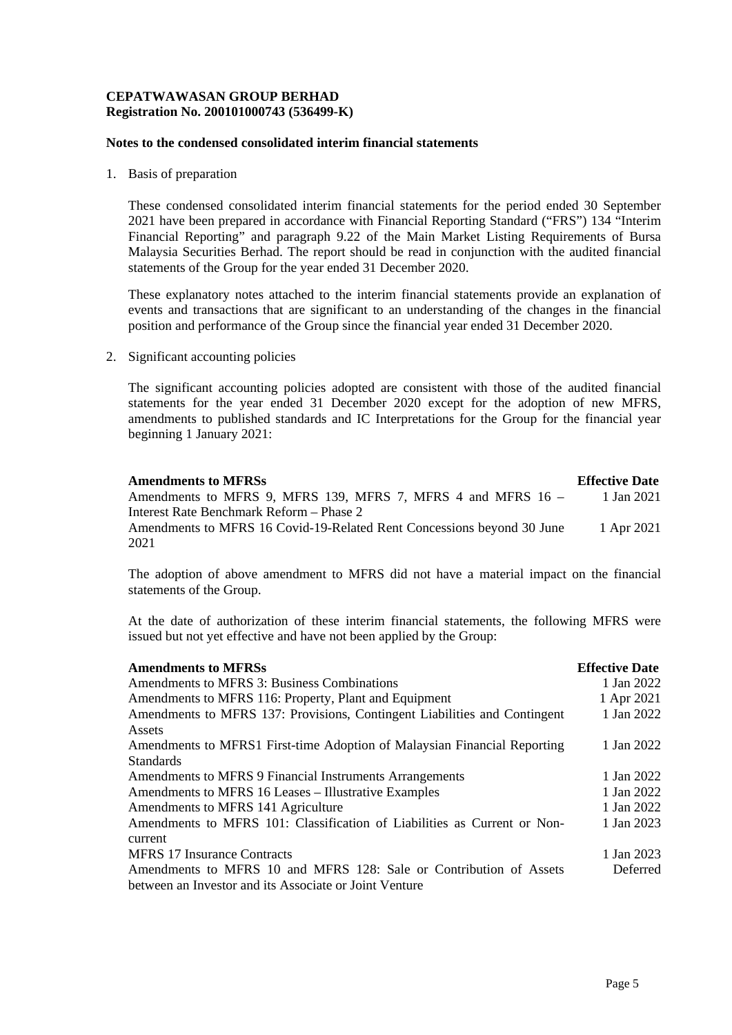# **CEPATWAWASAN GROUP BERHAD Registration No. 200101000743 (536499-K)**

### **Notes to the condensed consolidated interim financial statements**

1. Basis of preparation

These condensed consolidated interim financial statements for the period ended 30 September 2021 have been prepared in accordance with Financial Reporting Standard ("FRS") 134 "Interim Financial Reporting" and paragraph 9.22 of the Main Market Listing Requirements of Bursa Malaysia Securities Berhad. The report should be read in conjunction with the audited financial statements of the Group for the year ended 31 December 2020.

These explanatory notes attached to the interim financial statements provide an explanation of events and transactions that are significant to an understanding of the changes in the financial position and performance of the Group since the financial year ended 31 December 2020.

2. Significant accounting policies

The significant accounting policies adopted are consistent with those of the audited financial statements for the year ended 31 December 2020 except for the adoption of new MFRS, amendments to published standards and IC Interpretations for the Group for the financial year beginning 1 January 2021:

| <b>Amendments to MFRSs</b>                                             | <b>Effective Date</b> |
|------------------------------------------------------------------------|-----------------------|
| Amendments to MFRS 9, MFRS 139, MFRS 7, MFRS 4 and MFRS 16 –           | 1 Jan 2021            |
| Interest Rate Benchmark Reform – Phase 2                               |                       |
| Amendments to MFRS 16 Covid-19-Related Rent Concessions beyond 30 June | 1 Apr 2021            |
| 2021                                                                   |                       |

The adoption of above amendment to MFRS did not have a material impact on the financial statements of the Group.

At the date of authorization of these interim financial statements, the following MFRS were issued but not yet effective and have not been applied by the Group:

| <b>Amendments to MFRSs</b>                                                | <b>Effective Date</b> |
|---------------------------------------------------------------------------|-----------------------|
| Amendments to MFRS 3: Business Combinations                               | 1 Jan 2022            |
| Amendments to MFRS 116: Property, Plant and Equipment                     | 1 Apr 2021            |
| Amendments to MFRS 137: Provisions, Contingent Liabilities and Contingent | 1 Jan 2022            |
| Assets                                                                    |                       |
| Amendments to MFRS1 First-time Adoption of Malaysian Financial Reporting  | 1 Jan 2022            |
| <b>Standards</b>                                                          |                       |
| Amendments to MFRS 9 Financial Instruments Arrangements                   | 1 Jan 2022            |
| Amendments to MFRS 16 Leases – Illustrative Examples                      | 1 Jan 2022            |
| Amendments to MFRS 141 Agriculture                                        | 1 Jan 2022            |
| Amendments to MFRS 101: Classification of Liabilities as Current or Non-  | 1 Jan 2023            |
| current                                                                   |                       |
| <b>MFRS</b> 17 Insurance Contracts                                        | 1 Jan 2023            |
| Amendments to MFRS 10 and MFRS 128: Sale or Contribution of Assets        | Deferred              |
| between an Investor and its Associate or Joint Venture                    |                       |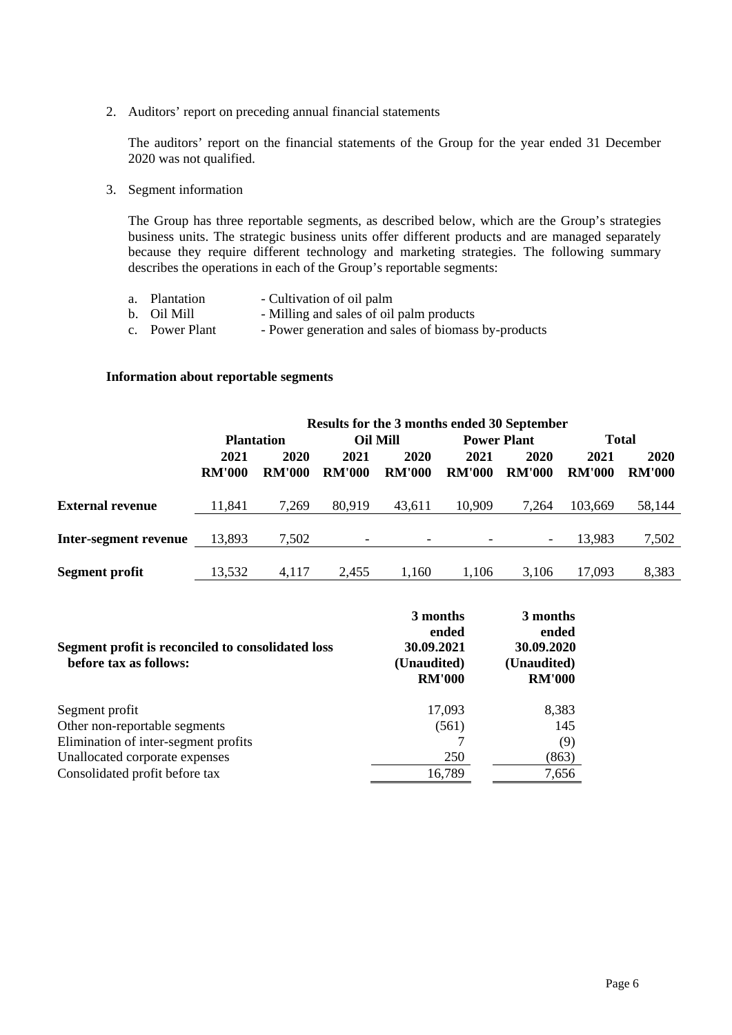2. Auditors' report on preceding annual financial statements

The auditors' report on the financial statements of the Group for the year ended 31 December 2020 was not qualified.

3. Segment information

The Group has three reportable segments, as described below, which are the Group's strategies business units. The strategic business units offer different products and are managed separately because they require different technology and marketing strategies. The following summary describes the operations in each of the Group's reportable segments:

| a. Plantation  | - Cultivation of oil palm                           |
|----------------|-----------------------------------------------------|
| b. Oil Mill    | - Milling and sales of oil palm products            |
| c. Power Plant | - Power generation and sales of biomass by-products |

## **Information about reportable segments**

|                         |               | Results for the 3 months ended 30 September |                 |               |                    |               |               |               |  |  |
|-------------------------|---------------|---------------------------------------------|-----------------|---------------|--------------------|---------------|---------------|---------------|--|--|
|                         |               | <b>Plantation</b>                           | <b>Oil Mill</b> |               | <b>Power Plant</b> |               | <b>Total</b>  |               |  |  |
|                         | 2021          | 2020                                        | 2021            | 2020          | 2021               | 2020          | 2021          | 2020          |  |  |
|                         | <b>RM'000</b> | <b>RM'000</b>                               | <b>RM'000</b>   | <b>RM'000</b> | <b>RM'000</b>      | <b>RM'000</b> | <b>RM'000</b> | <b>RM'000</b> |  |  |
| <b>External revenue</b> | 11,841        | 7,269                                       | 80,919          | 43,611        | 10,909             | 7.264         | 103.669       | 58,144        |  |  |
| Inter-segment revenue   | 13,893        | 7,502                                       |                 | -             |                    |               | 13,983        | 7,502         |  |  |
| <b>Segment profit</b>   | 13,532        | 4.117                                       | 2.455           | 1.160         | 1.106              | 3.106         | 17.093        | 8,383         |  |  |

| Segment profit is reconciled to consolidated loss<br>before tax as follows: | 3 months<br>ended<br>30.09.2021<br>(Unaudited)<br><b>RM'000</b> | 3 months<br>ended<br>30.09.2020<br>(Unaudited)<br><b>RM'000</b> |
|-----------------------------------------------------------------------------|-----------------------------------------------------------------|-----------------------------------------------------------------|
| Segment profit                                                              | 17,093                                                          | 8,383                                                           |
| Other non-reportable segments                                               | (561)                                                           | 145                                                             |
| Elimination of inter-segment profits                                        |                                                                 | (9)                                                             |
| Unallocated corporate expenses                                              | 250                                                             | (863)                                                           |
| Consolidated profit before tax                                              | 16,789                                                          | 7,656                                                           |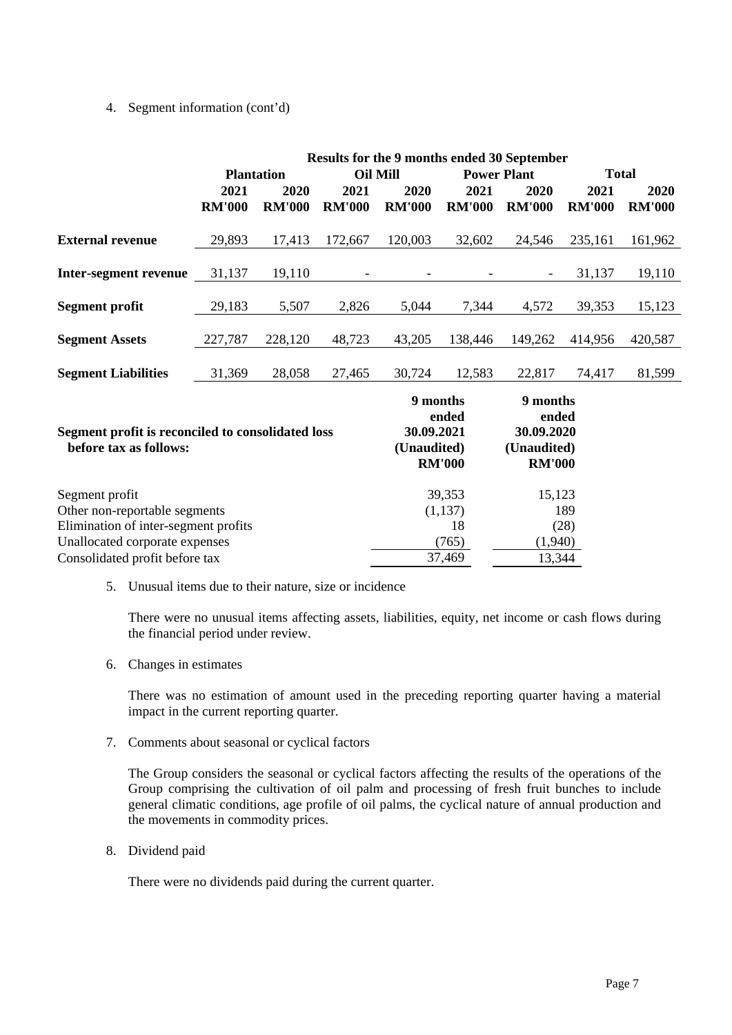## 4. Segment information (cont'd)

|                                                                                                                           |                       |                       |                                                                 | <b>Results for the 9 months ended 30 September</b> |                                                                 |                       |                       |                       |
|---------------------------------------------------------------------------------------------------------------------------|-----------------------|-----------------------|-----------------------------------------------------------------|----------------------------------------------------|-----------------------------------------------------------------|-----------------------|-----------------------|-----------------------|
|                                                                                                                           | <b>Plantation</b>     |                       | <b>Oil Mill</b>                                                 |                                                    | <b>Power Plant</b>                                              |                       | <b>Total</b>          |                       |
|                                                                                                                           | 2021<br><b>RM'000</b> | 2020<br><b>RM'000</b> | 2021<br><b>RM'000</b>                                           | 2020<br><b>RM'000</b>                              | 2021<br><b>RM'000</b>                                           | 2020<br><b>RM'000</b> | 2021<br><b>RM'000</b> | 2020<br><b>RM'000</b> |
| <b>External revenue</b>                                                                                                   | 29,893                | 17,413                | 172,667                                                         | 120,003                                            | 32,602                                                          | 24,546                | 235,161               | 161,962               |
| <b>Inter-segment revenue</b>                                                                                              | 31,137                | 19,110                |                                                                 |                                                    |                                                                 |                       | 31,137                | 19,110                |
| <b>Segment profit</b>                                                                                                     | 29,183                | 5,507                 | 2,826                                                           | 5,044                                              | 7,344                                                           | 4,572                 | 39,353                | 15,123                |
| <b>Segment Assets</b>                                                                                                     | 227,787               | 228,120               | 48,723                                                          | 43,205                                             | 138,446                                                         | 149,262               | 414,956               | 420,587               |
| <b>Segment Liabilities</b>                                                                                                | 31,369                | 28,058                | 27,465                                                          | 30,724                                             | 12,583                                                          | 22,817                | 74,417                | 81,599                |
| Segment profit is reconciled to consolidated loss<br>before tax as follows:                                               |                       |                       | 9 months<br>ended<br>30.09.2021<br>(Unaudited)<br><b>RM'000</b> |                                                    | 9 months<br>ended<br>30.09.2020<br>(Unaudited)<br><b>RM'000</b> |                       |                       |                       |
| Segment profit<br>Other non-reportable segments<br>Elimination of inter-segment profits<br>Unallocated corporate expenses |                       |                       | 39,353<br>(1, 137)<br>18<br>(765)                               | 15,123<br>189<br>(28)<br>(1,940)                   |                                                                 |                       |                       |                       |
| Consolidated profit before tax                                                                                            |                       |                       |                                                                 | 37,469<br>13,344                                   |                                                                 |                       |                       |                       |

5. Unusual items due to their nature, size or incidence

There were no unusual items affecting assets, liabilities, equity, net income or cash flows during the financial period under review.

6. Changes in estimates

There was no estimation of amount used in the preceding reporting quarter having a material impact in the current reporting quarter.

7. Comments about seasonal or cyclical factors

The Group considers the seasonal or cyclical factors affecting the results of the operations of the Group comprising the cultivation of oil palm and processing of fresh fruit bunches to include general climatic conditions, age profile of oil palms, the cyclical nature of annual production and the movements in commodity prices.

8. Dividend paid

There were no dividends paid during the current quarter.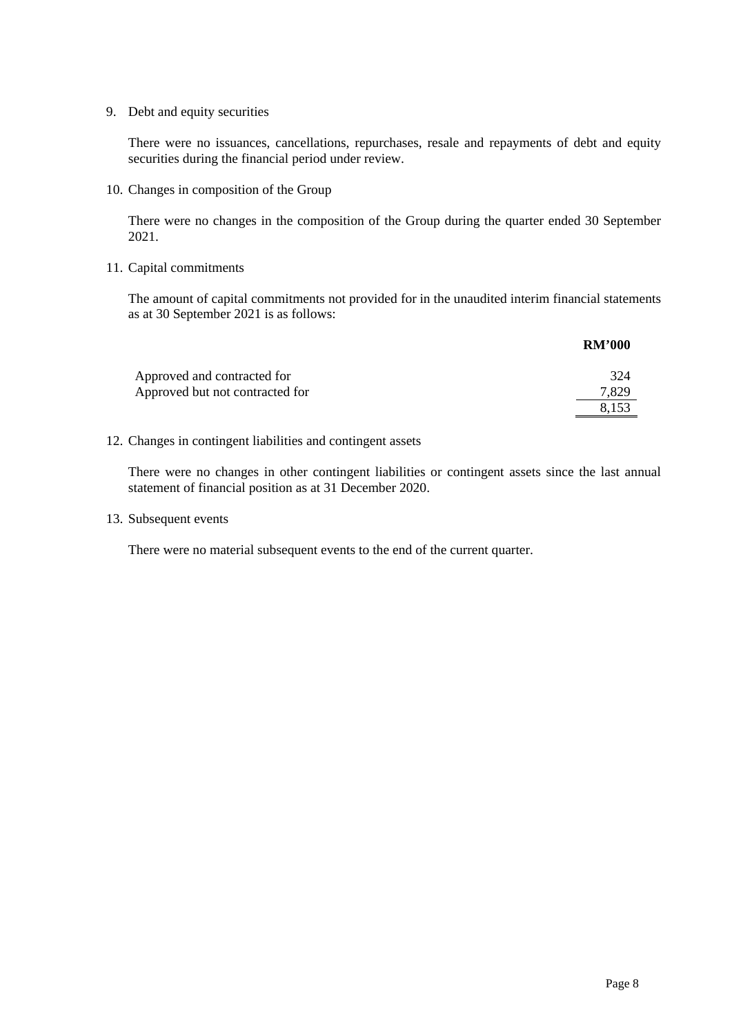9. Debt and equity securities

There were no issuances, cancellations, repurchases, resale and repayments of debt and equity securities during the financial period under review.

10. Changes in composition of the Group

There were no changes in the composition of the Group during the quarter ended 30 September 2021.

## 11. Capital commitments

The amount of capital commitments not provided for in the unaudited interim financial statements as at 30 September 2021 is as follows:

|                                 | <b>RM'000</b> |
|---------------------------------|---------------|
| Approved and contracted for     | 324           |
| Approved but not contracted for | 7,829         |
|                                 | 8.153         |

## 12. Changes in contingent liabilities and contingent assets

There were no changes in other contingent liabilities or contingent assets since the last annual statement of financial position as at 31 December 2020.

13. Subsequent events

There were no material subsequent events to the end of the current quarter.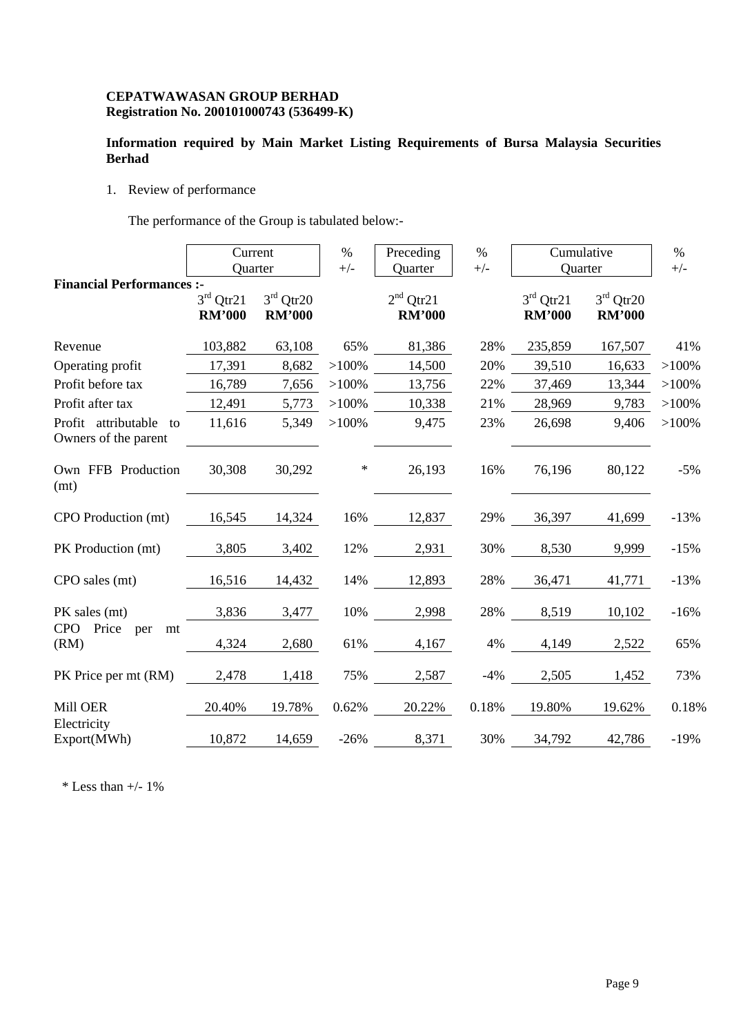# **CEPATWAWASAN GROUP BERHAD Registration No. 200101000743 (536499-K)**

# **Information required by Main Market Listing Requirements of Bursa Malaysia Securities Berhad**

1. Review of performance

The performance of the Group is tabulated below:-

|                                                | Current<br>Quarter           |                              | $\%$<br>$+/-$ | Preceding<br>Quarter         | $\%$<br>$+/-$ | Cumulative<br>Quarter        |                              | $\%$<br>$+/-$ |
|------------------------------------------------|------------------------------|------------------------------|---------------|------------------------------|---------------|------------------------------|------------------------------|---------------|
| <b>Financial Performances:-</b>                | $3rd$ Qtr21<br><b>RM'000</b> | $3rd$ Qtr20<br><b>RM'000</b> |               | $2nd$ Qtr21<br><b>RM'000</b> |               | $3rd$ Qtr21<br><b>RM'000</b> | $3rd$ Qtr20<br><b>RM'000</b> |               |
| Revenue                                        | 103,882                      | 63,108                       | 65%           | 81,386                       | 28%           | 235,859                      | 167,507                      | 41%           |
| Operating profit                               | 17,391                       | 8,682                        | $>100\%$      | 14,500                       | 20%           | 39,510                       | 16,633                       | $>100\%$      |
| Profit before tax                              | 16,789                       | 7,656                        | $>100\%$      | 13,756                       | 22%           | 37,469                       | 13,344                       | $>100\%$      |
| Profit after tax                               | 12,491                       | 5,773                        | $>100\%$      | 10,338                       | 21%           | 28,969                       | 9,783                        | $>100\%$      |
| Profit attributable to<br>Owners of the parent | 11,616                       | 5,349                        | $>100\%$      | 9,475                        | 23%           | 26,698                       | 9,406                        | $>100\%$      |
| Own FFB Production<br>(mt)                     | 30,308                       | 30,292                       | $\ast$        | 26,193                       | 16%           | 76,196                       | 80,122                       | $-5%$         |
| CPO Production (mt)                            | 16,545                       | 14,324                       | 16%           | 12,837                       | 29%           | 36,397                       | 41,699                       | $-13%$        |
| PK Production (mt)                             | 3,805                        | 3,402                        |               | 12% 2,931                    | 30%           | 8,530                        | 9,999                        | $-15%$        |
| CPO sales (mt)                                 | 16,516                       | 14,432                       |               | 14% 12,893                   | 28%           | 36,471                       | 41,771                       | $-13%$        |
| PK sales (mt)                                  | 3,836                        | 3,477                        | 10%           | 2,998                        | 28%           | 8,519                        | 10,102                       | $-16%$        |
| <b>CPO</b><br>Price per<br>mt<br>(RM)          | 4,324                        | 2,680                        |               | 61%<br>4,167                 | 4%            | 4,149                        | 2,522                        | 65%           |
| PK Price per mt (RM)                           | 2,478                        | 1,418                        |               | 75% 2,587                    | $-4%$         | 2,505                        | 1,452                        | 73%           |
| Mill OER<br>Electricity                        | 20.40%                       | 19.78%                       | 0.62%         | 20.22%                       | 0.18%         | 19.80%                       | 19.62%                       | 0.18%         |
| Export(MWh)                                    | 10,872                       | 14,659                       | $-26%$        | 8,371                        | 30%           | 34,792                       | 42,786                       | $-19%$        |

 $*$  Less than  $+/- 1\%$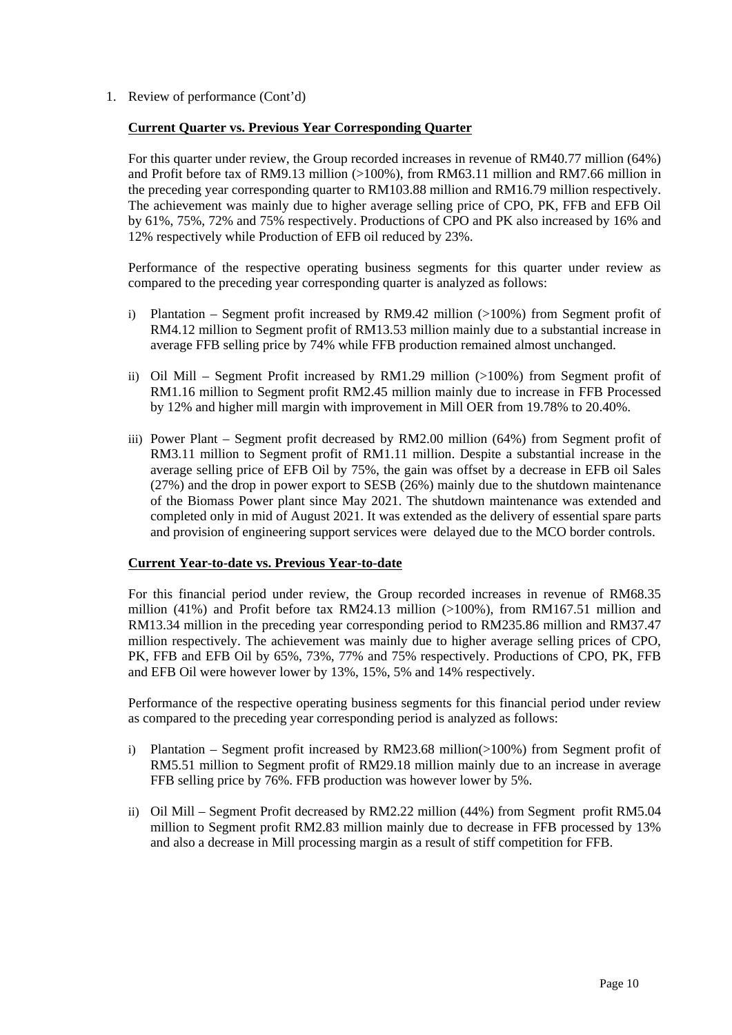1. Review of performance (Cont'd)

## **Current Quarter vs. Previous Year Corresponding Quarter**

For this quarter under review, the Group recorded increases in revenue of RM40.77 million (64%) and Profit before tax of RM9.13 million (>100%), from RM63.11 million and RM7.66 million in the preceding year corresponding quarter to RM103.88 million and RM16.79 million respectively. The achievement was mainly due to higher average selling price of CPO, PK, FFB and EFB Oil by 61%, 75%, 72% and 75% respectively. Productions of CPO and PK also increased by 16% and 12% respectively while Production of EFB oil reduced by 23%.

Performance of the respective operating business segments for this quarter under review as compared to the preceding year corresponding quarter is analyzed as follows:

- i) Plantation Segment profit increased by RM9.42 million (>100%) from Segment profit of RM4.12 million to Segment profit of RM13.53 million mainly due to a substantial increase in average FFB selling price by 74% while FFB production remained almost unchanged.
- ii) Oil Mill Segment Profit increased by RM1.29 million (>100%) from Segment profit of RM1.16 million to Segment profit RM2.45 million mainly due to increase in FFB Processed by 12% and higher mill margin with improvement in Mill OER from 19.78% to 20.40%.
- iii) Power Plant Segment profit decreased by RM2.00 million (64%) from Segment profit of RM3.11 million to Segment profit of RM1.11 million. Despite a substantial increase in the average selling price of EFB Oil by 75%, the gain was offset by a decrease in EFB oil Sales (27%) and the drop in power export to SESB (26%) mainly due to the shutdown maintenance of the Biomass Power plant since May 2021. The shutdown maintenance was extended and completed only in mid of August 2021. It was extended as the delivery of essential spare parts and provision of engineering support services were delayed due to the MCO border controls.

### **Current Year-to-date vs. Previous Year-to-date**

For this financial period under review, the Group recorded increases in revenue of RM68.35 million (41%) and Profit before tax RM24.13 million (>100%), from RM167.51 million and RM13.34 million in the preceding year corresponding period to RM235.86 million and RM37.47 million respectively. The achievement was mainly due to higher average selling prices of CPO, PK, FFB and EFB Oil by 65%, 73%, 77% and 75% respectively. Productions of CPO, PK, FFB and EFB Oil were however lower by 13%, 15%, 5% and 14% respectively.

Performance of the respective operating business segments for this financial period under review as compared to the preceding year corresponding period is analyzed as follows:

- i) Plantation Segment profit increased by RM23.68 million(>100%) from Segment profit of RM5.51 million to Segment profit of RM29.18 million mainly due to an increase in average FFB selling price by 76%. FFB production was however lower by 5%.
- ii) Oil Mill Segment Profit decreased by RM2.22 million (44%) from Segment profit RM5.04 million to Segment profit RM2.83 million mainly due to decrease in FFB processed by 13% and also a decrease in Mill processing margin as a result of stiff competition for FFB.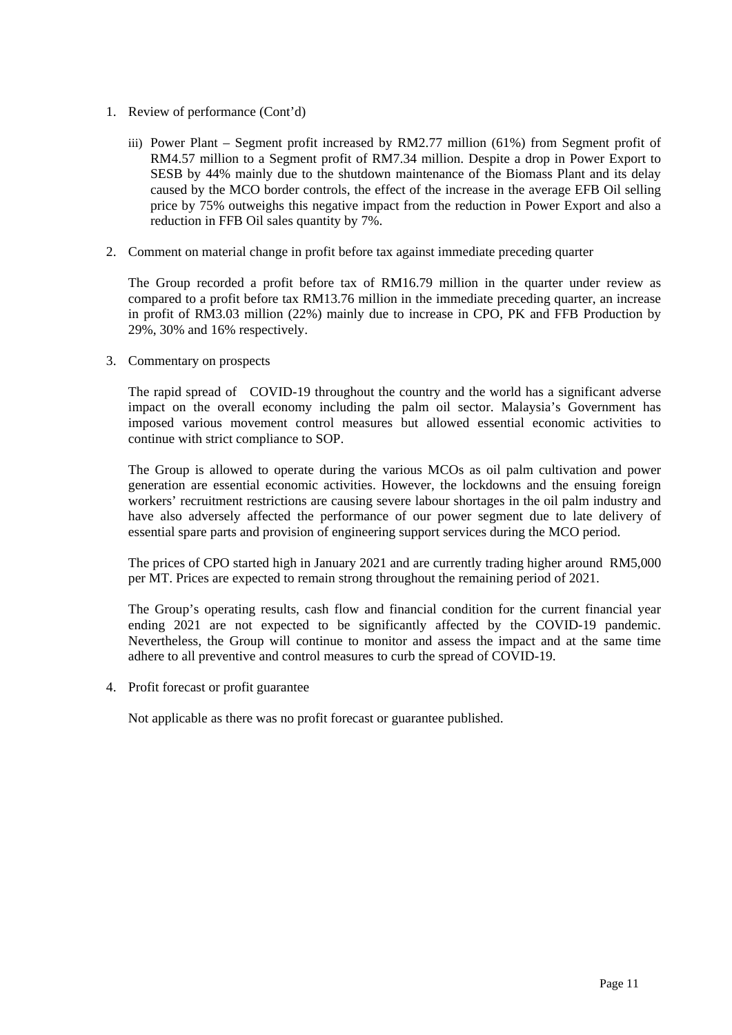- 1. Review of performance (Cont'd)
	- iii) Power Plant Segment profit increased by RM2.77 million (61%) from Segment profit of RM4.57 million to a Segment profit of RM7.34 million. Despite a drop in Power Export to SESB by 44% mainly due to the shutdown maintenance of the Biomass Plant and its delay caused by the MCO border controls, the effect of the increase in the average EFB Oil selling price by 75% outweighs this negative impact from the reduction in Power Export and also a reduction in FFB Oil sales quantity by 7%.
- 2. Comment on material change in profit before tax against immediate preceding quarter

The Group recorded a profit before tax of RM16.79 million in the quarter under review as compared to a profit before tax RM13.76 million in the immediate preceding quarter, an increase in profit of RM3.03 million (22%) mainly due to increase in CPO, PK and FFB Production by 29%, 30% and 16% respectively.

3. Commentary on prospects

The rapid spread of COVID-19 throughout the country and the world has a significant adverse impact on the overall economy including the palm oil sector. Malaysia's Government has imposed various movement control measures but allowed essential economic activities to continue with strict compliance to SOP.

The Group is allowed to operate during the various MCOs as oil palm cultivation and power generation are essential economic activities. However, the lockdowns and the ensuing foreign workers' recruitment restrictions are causing severe labour shortages in the oil palm industry and have also adversely affected the performance of our power segment due to late delivery of essential spare parts and provision of engineering support services during the MCO period.

The prices of CPO started high in January 2021 and are currently trading higher around RM5,000 per MT. Prices are expected to remain strong throughout the remaining period of 2021.

The Group's operating results, cash flow and financial condition for the current financial year ending 2021 are not expected to be significantly affected by the COVID-19 pandemic. Nevertheless, the Group will continue to monitor and assess the impact and at the same time adhere to all preventive and control measures to curb the spread of COVID-19.

4. Profit forecast or profit guarantee

Not applicable as there was no profit forecast or guarantee published.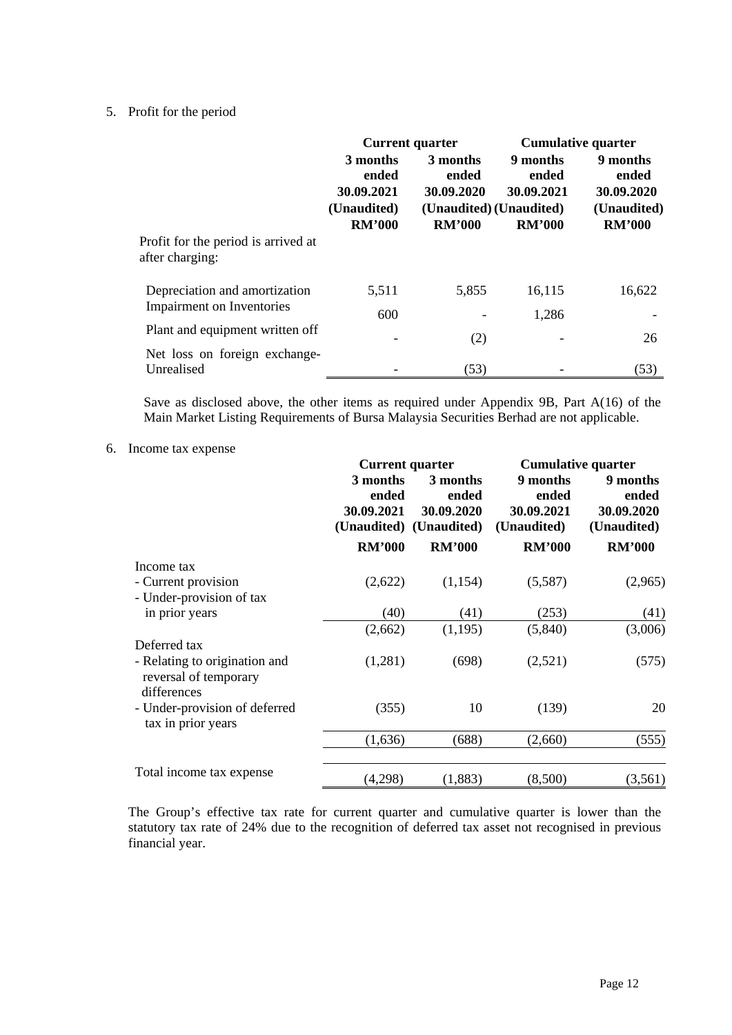## 5. Profit for the period

|                                                            | <b>Current quarter</b>                                          |                                                                             | <b>Cumulative quarter</b>                        |                                                                 |
|------------------------------------------------------------|-----------------------------------------------------------------|-----------------------------------------------------------------------------|--------------------------------------------------|-----------------------------------------------------------------|
|                                                            | 3 months<br>ended<br>30.09.2021<br>(Unaudited)<br><b>RM'000</b> | 3 months<br>ended<br>30.09.2020<br>(Unaudited) (Unaudited)<br><b>RM'000</b> | 9 months<br>ended<br>30.09.2021<br><b>RM'000</b> | 9 months<br>ended<br>30.09.2020<br>(Unaudited)<br><b>RM'000</b> |
| Profit for the period is arrived at<br>after charging:     |                                                                 |                                                                             |                                                  |                                                                 |
| Depreciation and amortization<br>Impairment on Inventories | 5,511                                                           | 5,855                                                                       | 16,115                                           | 16,622                                                          |
|                                                            | 600                                                             |                                                                             | 1,286                                            |                                                                 |
| Plant and equipment written off                            | $\qquad \qquad \blacksquare$                                    | (2)                                                                         | -                                                | 26                                                              |
| Net loss on foreign exchange-<br>Unrealised                |                                                                 | (53)                                                                        |                                                  | (53)                                                            |

Save as disclosed above, the other items as required under Appendix 9B, Part A(16) of the Main Market Listing Requirements of Bursa Malaysia Securities Berhad are not applicable.

## 6. Income tax expense

|                                                                       | <b>Current quarter</b>          |                                                            | <b>Cumulative quarter</b>                      |                                                |
|-----------------------------------------------------------------------|---------------------------------|------------------------------------------------------------|------------------------------------------------|------------------------------------------------|
|                                                                       | 3 months<br>ended<br>30.09.2021 | 3 months<br>ended<br>30.09.2020<br>(Unaudited) (Unaudited) | 9 months<br>ended<br>30.09.2021<br>(Unaudited) | 9 months<br>ended<br>30.09.2020<br>(Unaudited) |
|                                                                       | <b>RM'000</b>                   | <b>RM'000</b>                                              | <b>RM'000</b>                                  | <b>RM'000</b>                                  |
| Income tax                                                            |                                 |                                                            |                                                |                                                |
| - Current provision                                                   | (2,622)                         | (1,154)                                                    | (5,587)                                        | (2,965)                                        |
| - Under-provision of tax                                              |                                 |                                                            |                                                |                                                |
| in prior years                                                        | (40)                            | (41)                                                       | (253)                                          | (41)                                           |
|                                                                       | (2,662)                         | (1,195)                                                    | (5,840)                                        | (3,006)                                        |
| Deferred tax                                                          |                                 |                                                            |                                                |                                                |
| - Relating to origination and<br>reversal of temporary<br>differences | (1,281)                         | (698)                                                      | (2,521)                                        | (575)                                          |
| - Under-provision of deferred<br>tax in prior years                   | (355)                           | 10                                                         | (139)                                          | 20                                             |
|                                                                       | (1,636)                         | (688)                                                      | (2,660)                                        | (555)                                          |
| Total income tax expense                                              | (4,298)                         | (1, 883)                                                   | (8,500)                                        | (3,561)                                        |

The Group's effective tax rate for current quarter and cumulative quarter is lower than the statutory tax rate of 24% due to the recognition of deferred tax asset not recognised in previous financial year.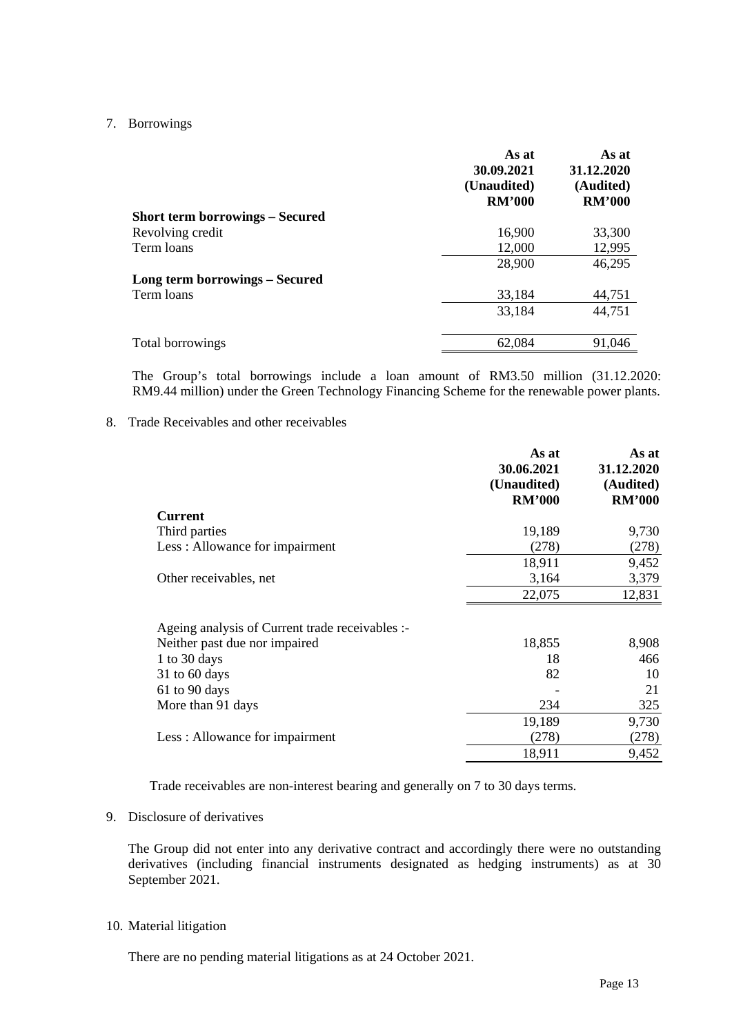## 7. Borrowings

|                                        | As at<br>30.09.2021<br>(Unaudited)<br><b>RM'000</b> | As at<br>31.12.2020<br>(Audited)<br><b>RM'000</b> |
|----------------------------------------|-----------------------------------------------------|---------------------------------------------------|
| <b>Short term borrowings – Secured</b> |                                                     |                                                   |
| Revolving credit                       | 16,900                                              | 33,300                                            |
| Term loans                             | 12,000                                              | 12,995                                            |
|                                        | 28,900                                              | 46,295                                            |
| <b>Long term borrowings – Secured</b>  |                                                     |                                                   |
| Term loans                             | 33,184                                              | 44,751                                            |
|                                        | 33,184                                              | 44,751                                            |
| Total borrowings                       | 62,084                                              | 91,046                                            |

The Group's total borrowings include a loan amount of RM3.50 million (31.12.2020: RM9.44 million) under the Green Technology Financing Scheme for the renewable power plants.

## 8. Trade Receivables and other receivables

|                                                 | As at<br>30.06.2021<br>(Unaudited)<br><b>RM'000</b> | As at<br>31.12.2020<br>(Audited)<br><b>RM'000</b> |
|-------------------------------------------------|-----------------------------------------------------|---------------------------------------------------|
| <b>Current</b>                                  |                                                     |                                                   |
| Third parties                                   | 19,189                                              | 9,730                                             |
| Less: Allowance for impairment                  | (278)                                               | (278)                                             |
|                                                 | 18,911                                              | 9,452                                             |
| Other receivables, net                          | 3,164                                               | 3,379                                             |
|                                                 | 22,075                                              | 12,831                                            |
| Ageing analysis of Current trade receivables :- |                                                     |                                                   |
| Neither past due nor impaired                   | 18,855                                              | 8,908                                             |
| 1 to 30 days                                    | 18                                                  | 466                                               |
| $31$ to 60 days                                 | 82                                                  | 10                                                |
| 61 to 90 days                                   |                                                     | 21                                                |
| More than 91 days                               | 234                                                 | 325                                               |
|                                                 | 19,189                                              | 9,730                                             |
| Less: Allowance for impairment                  | (278)                                               | (278)                                             |
|                                                 | 18,911                                              | 9,452                                             |

Trade receivables are non-interest bearing and generally on 7 to 30 days terms.

### 9. Disclosure of derivatives

The Group did not enter into any derivative contract and accordingly there were no outstanding derivatives (including financial instruments designated as hedging instruments) as at 30 September 2021.

### 10. Material litigation

There are no pending material litigations as at 24 October 2021.